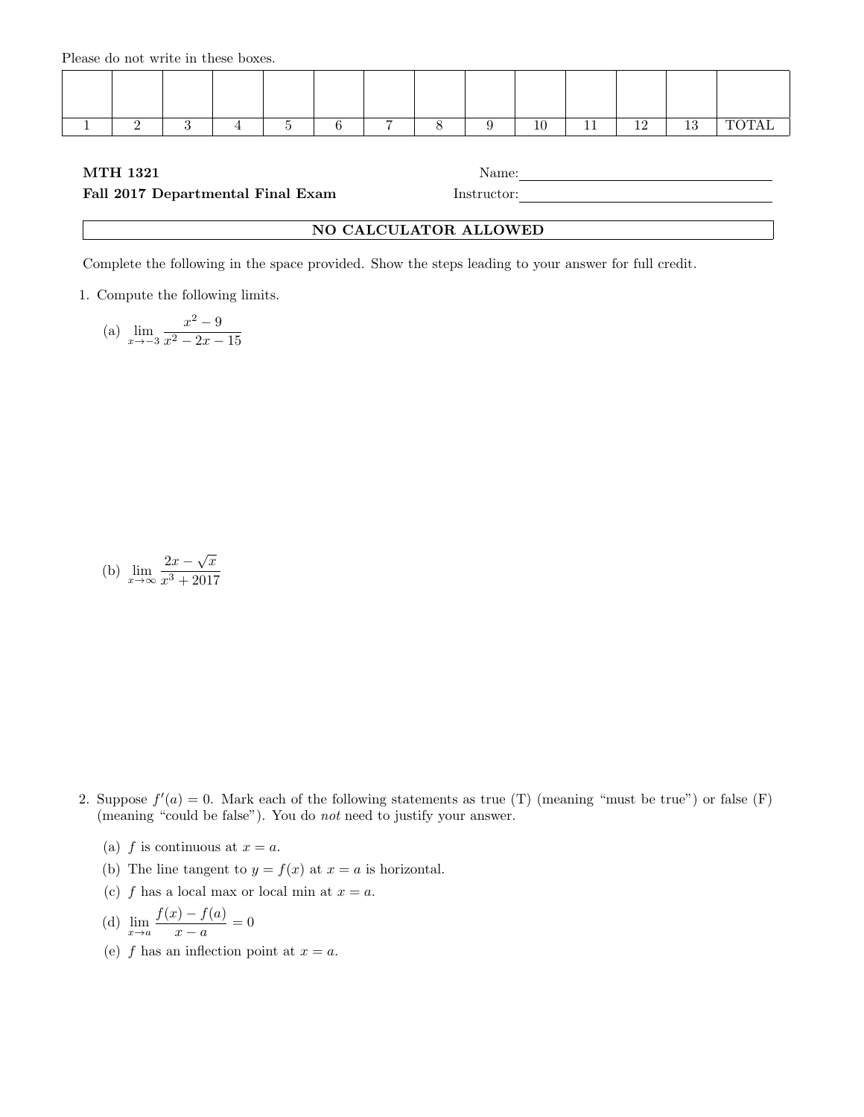Please do not write in these boxes.

|  |  |  |  | 10 | $\sim$ | 1 O |  |
|--|--|--|--|----|--------|-----|--|

## MTH 1321 Name:

## Fall 2017 Departmental Final Exam Instructor:

## NO CALCULATOR ALLOWED

Complete the following in the space provided. Show the steps leading to your answer for full credit.

1. Compute the following limits.

(a) 
$$
\lim_{x \to -3} \frac{x^2 - 9}{x^2 - 2x - 15}
$$

(b) 
$$
\lim_{x \to \infty} \frac{2x - \sqrt{x}}{x^3 + 2017}
$$

- 2. Suppose  $f'(a) = 0$ . Mark each of the following statements as true (T) (meaning "must be true") or false (F) (meaning "could be false"). You do not need to justify your answer.
	- (a) f is continuous at  $x = a$ .
	- (b) The line tangent to  $y = f(x)$  at  $x = a$  is horizontal.
	- (c) f has a local max or local min at  $x = a$ .

(d) 
$$
\lim_{x \to a} \frac{f(x) - f(a)}{x - a} = 0
$$

(e) f has an inflection point at  $x = a$ .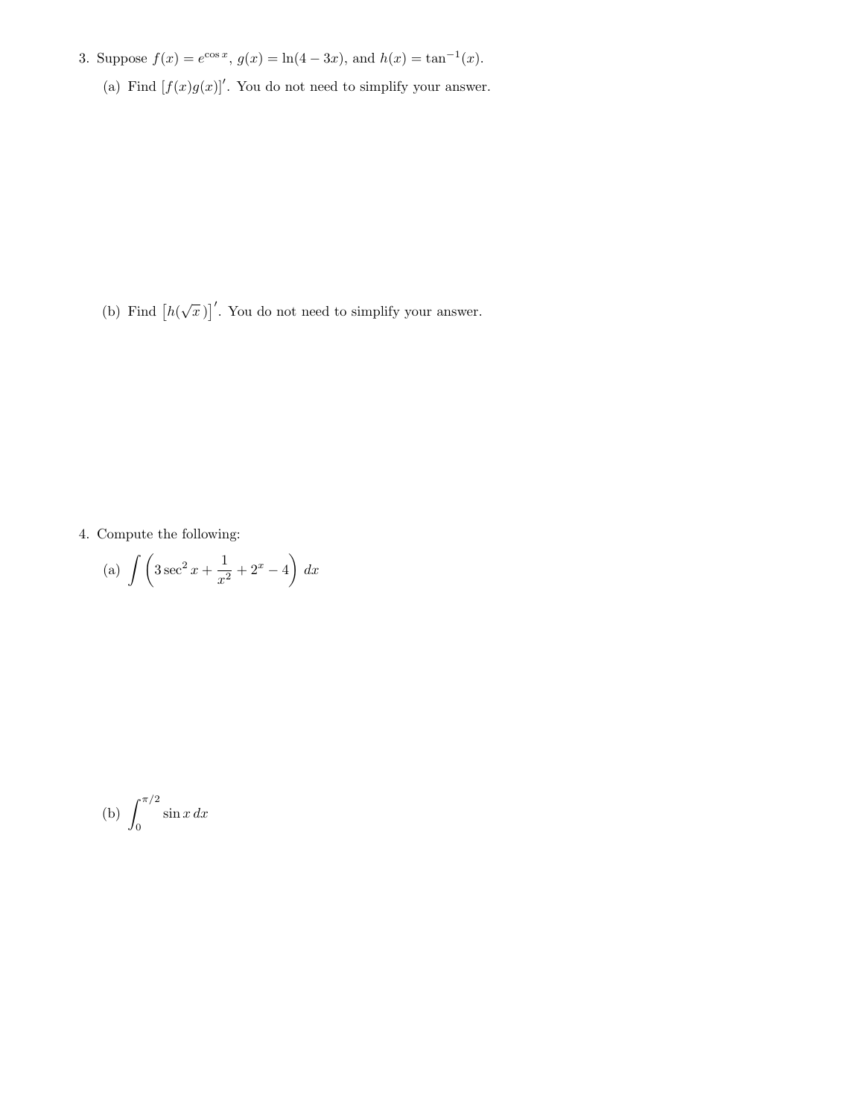- 3. Suppose  $f(x) = e^{\cos x}$ ,  $g(x) = \ln(4 3x)$ , and  $h(x) = \tan^{-1}(x)$ .
	- (a) Find  $[f(x)g(x)]'$ . You do not need to simplify your answer.

(b) Find  $\left[h(\sqrt{x})\right]'$ . You do not need to simplify your answer.

4. Compute the following:

(a) 
$$
\int \left(3\sec^2 x + \frac{1}{x^2} + 2^x - 4\right) dx
$$

$$
(b) \int_0^{\pi/2} \sin x \, dx
$$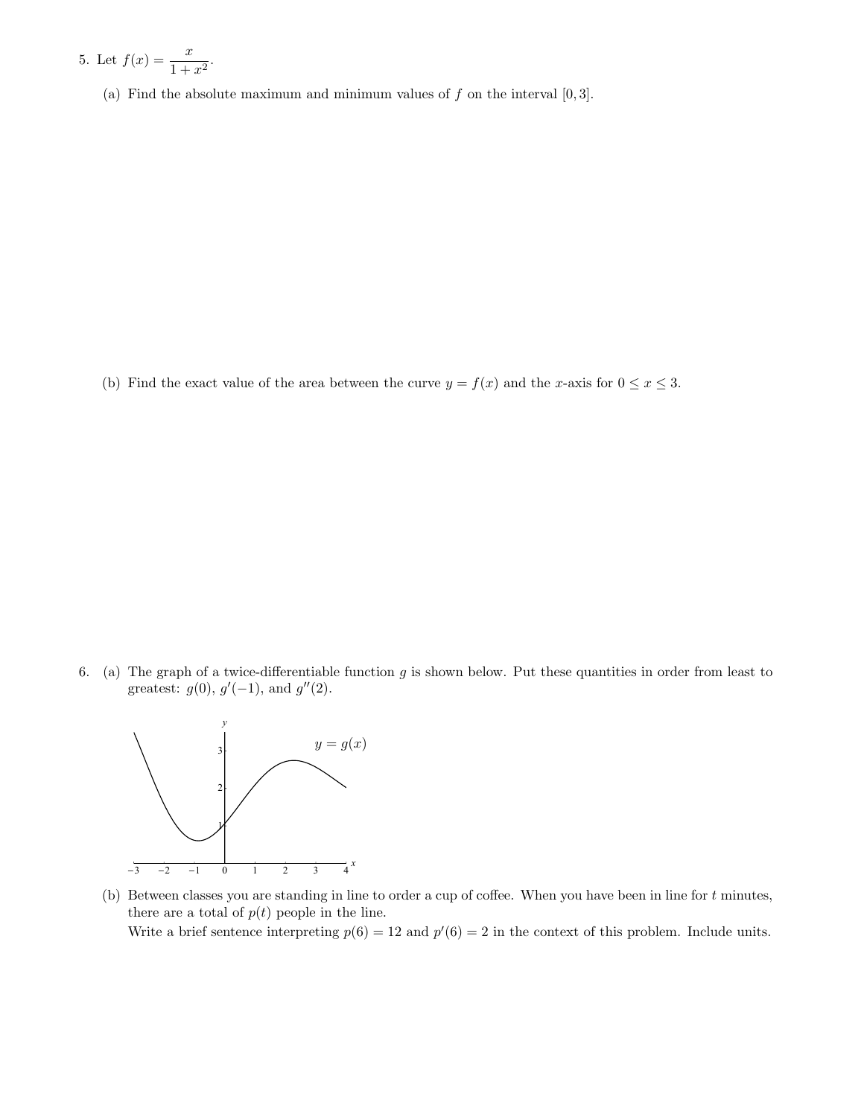5. Let 
$$
f(x) = \frac{x}{1 + x^2}
$$
.

(a) Find the absolute maximum and minimum values of  $f$  on the interval  $[0,3]$ .

(b) Find the exact value of the area between the curve  $y = f(x)$  and the x-axis for  $0 \le x \le 3$ .

6. (a) The graph of a twice-differentiable function  $g$  is shown below. Put these quantities in order from least to greatest:  $g(0), g'(-1),$  and  $g''(2)$ .



(b) Between classes you are standing in line to order a cup of coffee. When you have been in line for t minutes, there are a total of  $p(t)$  people in the line.

Write a brief sentence interpreting  $p(6) = 12$  and  $p'(6) = 2$  in the context of this problem. Include units.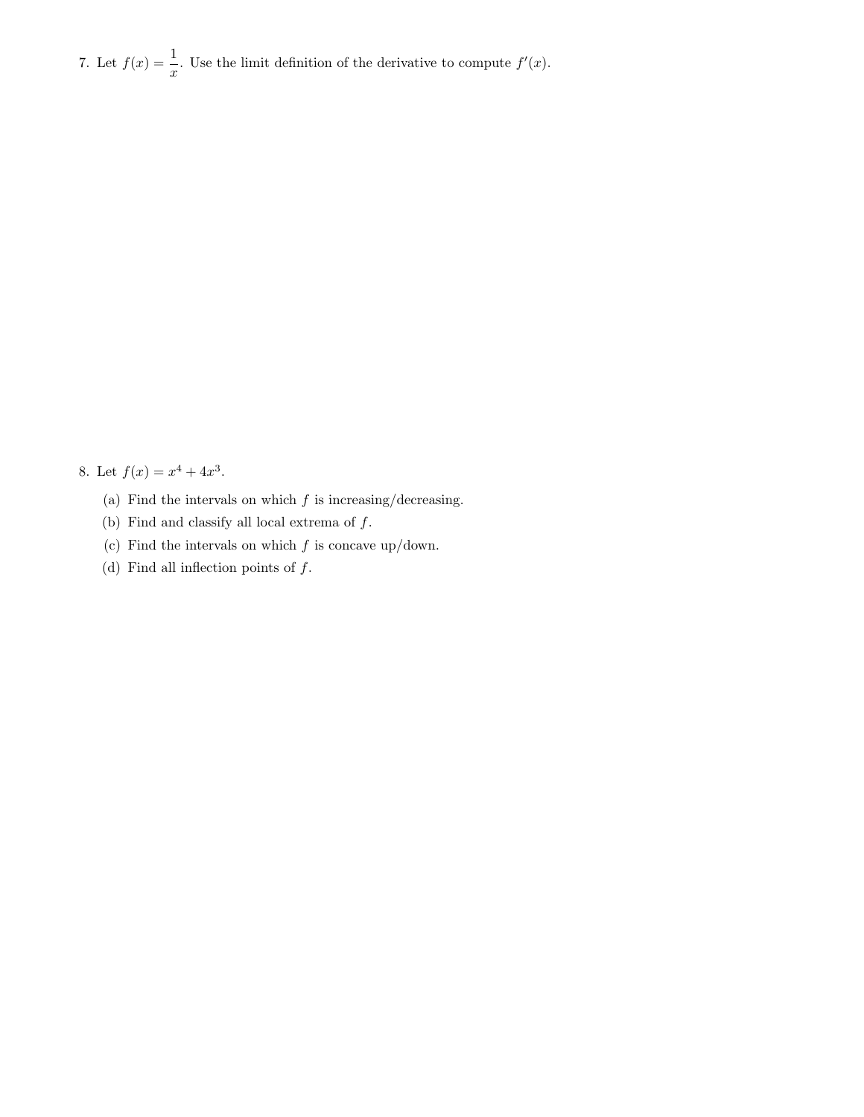7. Let  $f(x) = \frac{1}{x}$ . Use the limit definition of the derivative to compute  $f'(x)$ .

8. Let  $f(x) = x^4 + 4x^3$ .

- (a) Find the intervals on which  $f$  is increasing/decreasing.
- (b) Find and classify all local extrema of  $f$ .
- (c) Find the intervals on which  $f$  is concave up/down.
- (d) Find all inflection points of  $f$ .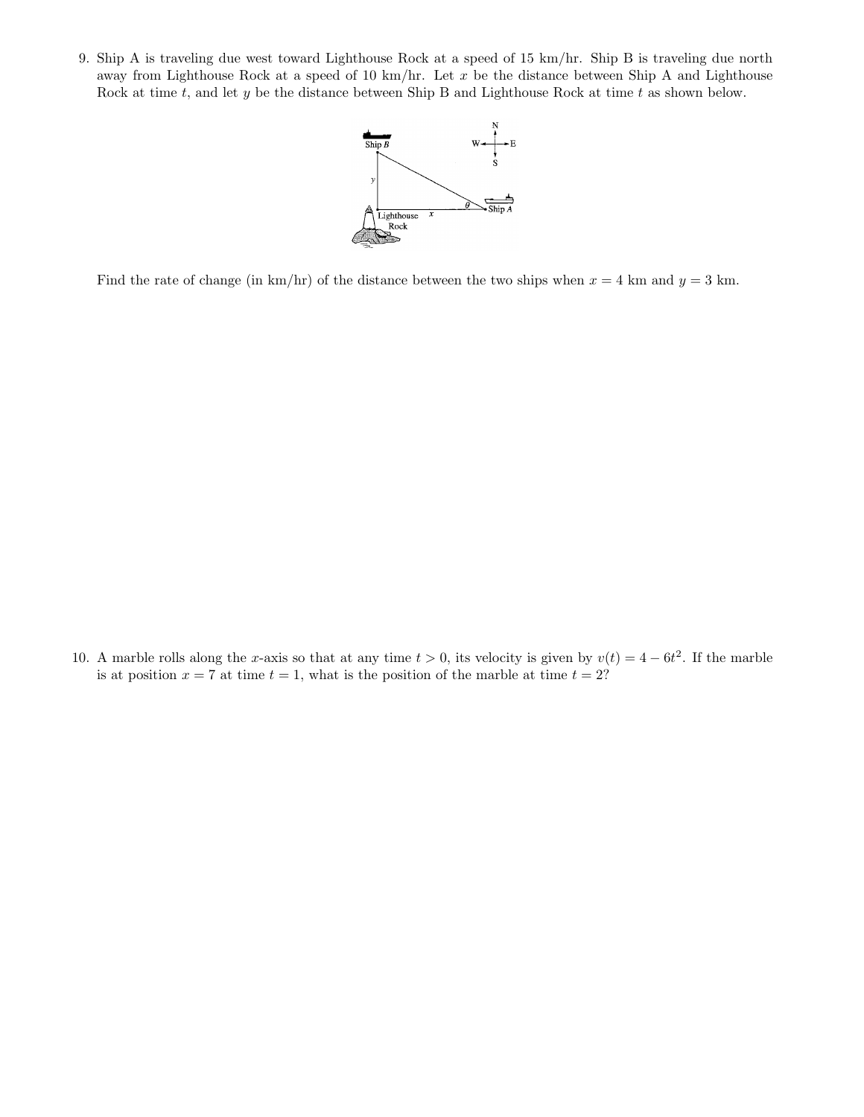9. Ship A is traveling due west toward Lighthouse Rock at a speed of 15 km/hr. Ship B is traveling due north away from Lighthouse Rock at a speed of 10 km/hr. Let  $x$  be the distance between Ship A and Lighthouse Rock at time  $t$ , and let  $y$  be the distance between Ship B and Lighthouse Rock at time  $t$  as shown below.



Find the rate of change (in km/hr) of the distance between the two ships when  $x = 4$  km and  $y = 3$  km.

10. A marble rolls along the x-axis so that at any time  $t > 0$ , its velocity is given by  $v(t) = 4 - 6t^2$ . If the marble is at position  $x = 7$  at time  $t = 1$ , what is the position of the marble at time  $t = 2$ ?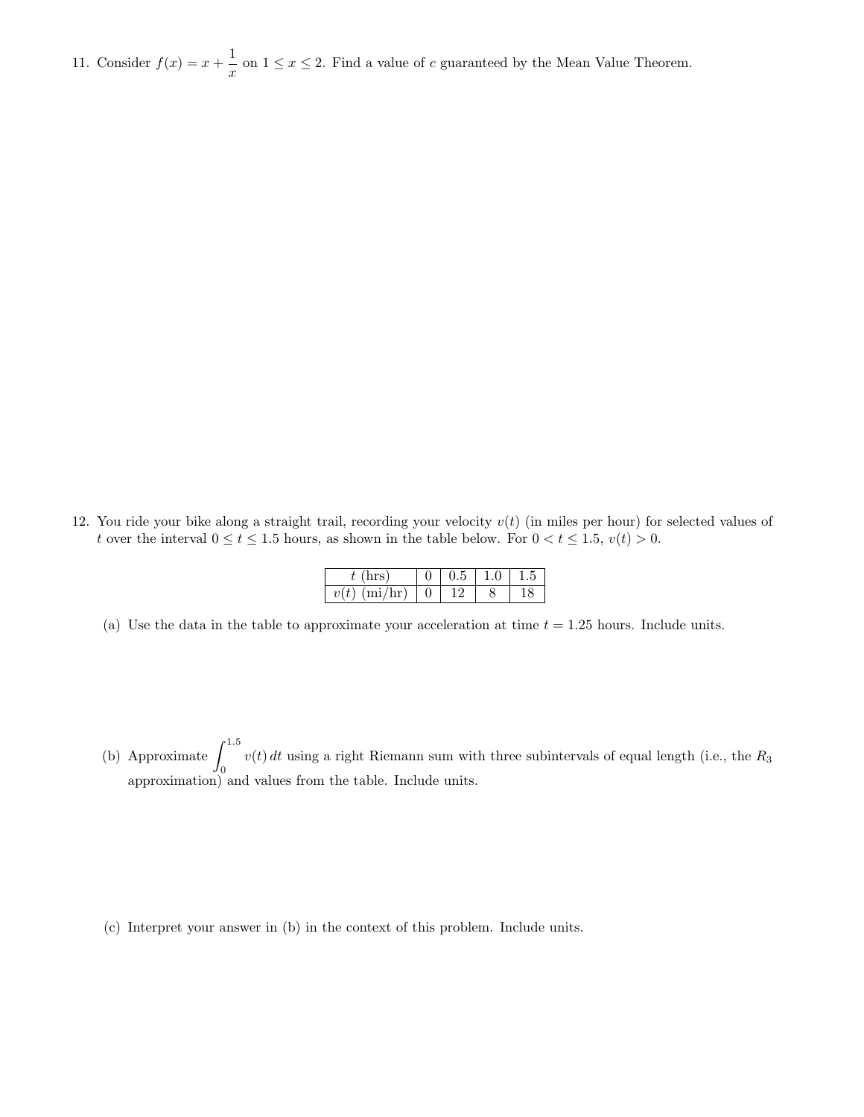11. Consider  $f(x) = x + \frac{1}{x}$  $\frac{1}{x}$  on  $1 \le x \le 2$ . Find a value of c guaranteed by the Mean Value Theorem.

12. You ride your bike along a straight trail, recording your velocity  $v(t)$  (in miles per hour) for selected values of t over the interval  $0 \le t \le 1.5$  hours, as shown in the table below. For  $0 < t \le 1.5$ ,  $v(t) > 0$ .

|         |  | 1.0 | $-1.5$ |
|---------|--|-----|--------|
| (mi/hr) |  |     |        |

(a) Use the data in the table to approximate your acceleration at time  $t = 1.25$  hours. Include units.

(b) Approximate  $\int^{1.5}$  $v(t)$  dt using a right Riemann sum with three subintervals of equal length (i.e., the  $R_3$ ) approximation) and values from the table. Include units.

(c) Interpret your answer in (b) in the context of this problem. Include units.